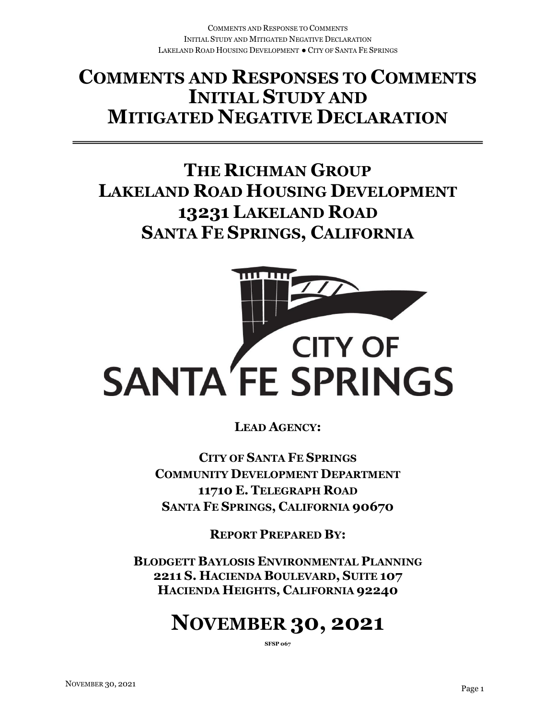# **COMMENTS AND RESPONSES TO COMMENTS INITIAL STUDY AND MITIGATED NEGATIVE DECLARATION**

**THE RICHMAN GROUP LAKELAND ROAD HOUSING DEVELOPMENT 13231 LAKELAND ROAD SANTA FE SPRINGS, CALIFORNIA**



**LEAD AGENCY:**

**CITY OF SANTA FE SPRINGS COMMUNITY DEVELOPMENT DEPARTMENT 11710 E. TELEGRAPH ROAD SANTA FE SPRINGS, CALIFORNIA 90670**

**REPORT PREPARED BY:**

**BLODGETT BAYLOSIS ENVIRONMENTAL PLANNING 2211 S. HACIENDA BOULEVARD, SUITE 107 HACIENDA HEIGHTS, CALIFORNIA 92240**

# **NOVEMBER 30, 2021**

**SFSP 067**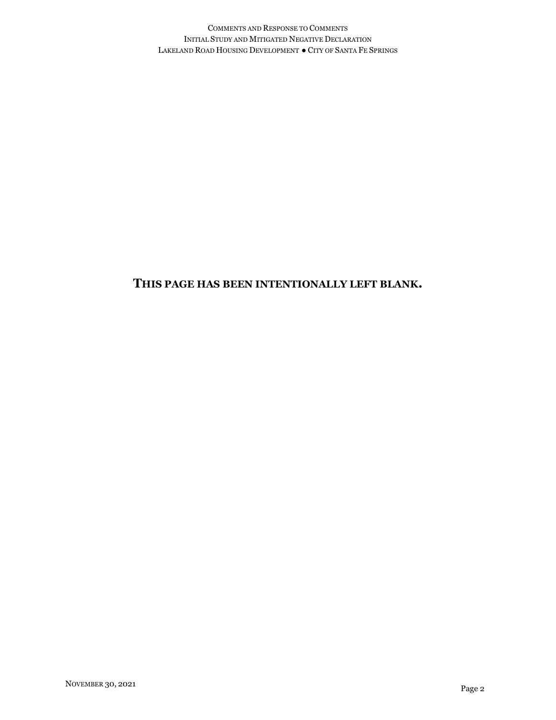**THIS PAGE HAS BEEN INTENTIONALLY LEFT BLANK.**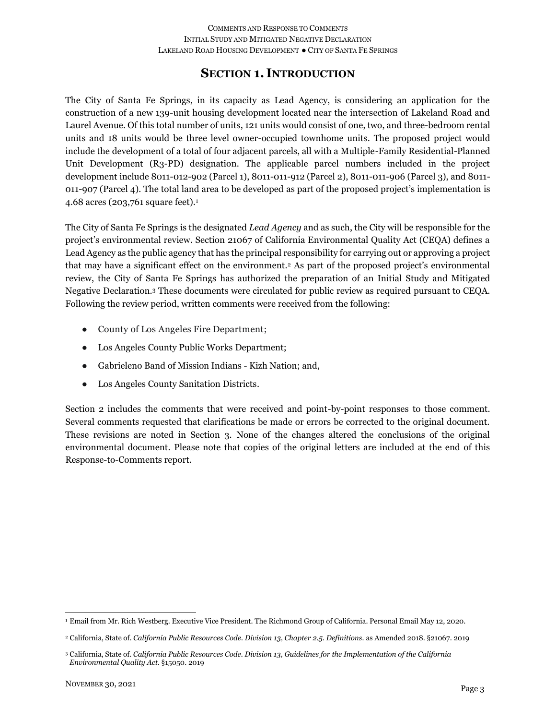## **SECTION 1. INTRODUCTION**

The City of Santa Fe Springs, in its capacity as Lead Agency, is considering an application for the construction of a new 139-unit housing development located near the intersection of Lakeland Road and Laurel Avenue. Of this total number of units, 121 units would consist of one, two, and three-bedroom rental units and 18 units would be three level owner-occupied townhome units. The proposed project would include the development of a total of four adjacent parcels, all with a Multiple-Family Residential-Planned Unit Development (R3-PD) designation. The applicable parcel numbers included in the project development include 8011-012-902 (Parcel 1), 8011-011-912 (Parcel 2), 8011-011-906 (Parcel 3), and 8011- 011-907 (Parcel 4). The total land area to be developed as part of the proposed project's implementation is 4.68 acres (203,761 square feet).<sup>1</sup>

The City of Santa Fe Springs is the designated *Lead Agency* and as such, the City will be responsible for the project's environmental review. Section 21067 of California Environmental Quality Act (CEQA) defines a Lead Agency as the public agency that has the principal responsibility for carrying out or approving a project that may have a significant effect on the environment.<sup>2</sup> As part of the proposed project's environmental review, the City of Santa Fe Springs has authorized the preparation of an Initial Study and Mitigated Negative Declaration.<sup>3</sup> These documents were circulated for public review as required pursuant to CEQA. Following the review period, written comments were received from the following:

- County of Los Angeles Fire Department;
- Los Angeles County Public Works Department;
- Gabrieleno Band of Mission Indians Kizh Nation; and,
- Los Angeles County Sanitation Districts.

Section 2 includes the comments that were received and point-by-point responses to those comment. Several comments requested that clarifications be made or errors be corrected to the original document. These revisions are noted in Section 3. None of the changes altered the conclusions of the original environmental document. Please note that copies of the original letters are included at the end of this Response-to-Comments report.

<sup>1</sup> Email from Mr. Rich Westberg. Executive Vice President. The Richmond Group of California. Personal Email May 12, 2020.

<sup>2</sup> California, State of. *California Public Resources Code. Division 13, Chapter 2.5. Definitions.* as Amended 2018. §21067. 2019

<sup>3</sup> California, State of. *California Public Resources Code. Division 13, Guidelines for the Implementation of the California Environmental Quality Act.* §15050. 2019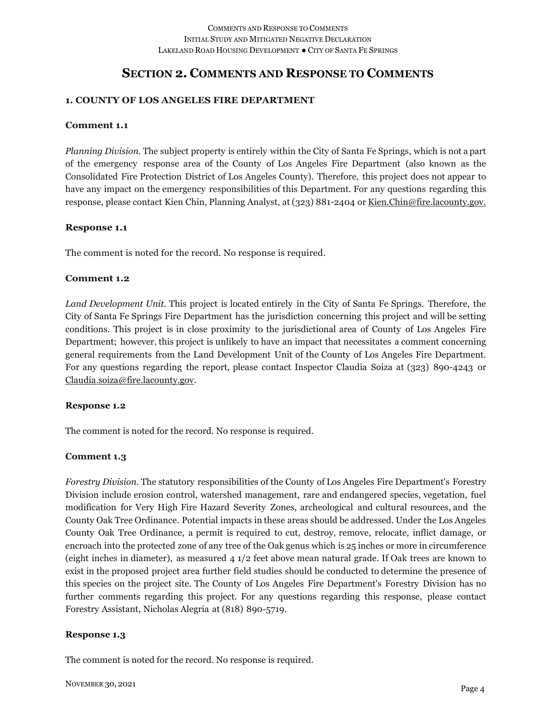## **SECTION 2. COMMENTS AND RESPONSE TO COMMENTS**

## **1. COUNTY OF LOS ANGELES FIRE DEPARTMENT**

#### **Comment 1.1**

*Planning Division.* The subject property is entirely within the City of Santa Fe Springs, which is not a part of the emergency response area of the County of Los Angeles Fire Department (also known as the Consolidated Fire Protection District of Los Angeles County). Therefore, this project does not appear to have any impact on the emergency responsibilities of this Department. For any questions regarding this response, please contact Kien Chin, Planning Analyst, at (323) 881-2404 or [Kien.Chin@fire.lacounty.gov.](mailto:Kien.Chin@fire.lacounty.gov)

#### **Response 1.1**

The comment is noted for the record. No response is required.

#### **Comment 1.2**

*Land Development Unit.* This project is located entirely in the City of Santa Fe Springs. Therefore, the City of Santa Fe Springs Fire Department has the jurisdiction concerning this project and will be setting conditions. This project is in close proximity to the jurisdictional area of County of Los Angeles Fire Department; however, this project is unlikely to have an impact that necessitates a comment concerning general requirements from the Land Development Unit of the County of Los Angeles Fire Department. For any questions regarding the report, please contact Inspector Claudia Soiza at (323) 890-4243 or [Claudia.soiza@fire.lacounty.gov.](mailto:Claudia.soiza@fire.lacounty.gov)

#### **Response 1.2**

The comment is noted for the record. No response is required.

#### **Comment 1.3**

*Forestry Division.* The statutory responsibilities of the County of Los Angeles Fire Department's Forestry Division include erosion control, watershed management, rare and endangered species, vegetation, fuel modification for Very High Fire Hazard Severity Zones, archeological and cultural resources, and the County Oak Tree Ordinance. Potential impacts in these areas should be addressed. Under the Los Angeles County Oak Tree Ordinance, a permit is required to cut, destroy, remove, relocate, inflict damage, or encroach into the protected zone of any tree of the Oak genus which is 25 inches or more in circumference (eight inches in diameter), as measured 4 1/2 feet above mean natural grade. If Oak trees are known to exist in the proposed project area further field studies should be conducted to determine the presence of this species on the project site. The County of Los Angeles Fire Department's Forestry Division has no further comments regarding this project. For any questions regarding this response, please contact Forestry Assistant, Nicholas Alegria at (818) 890-5719.

#### **Response 1.3**

The comment is noted for the record. No response is required.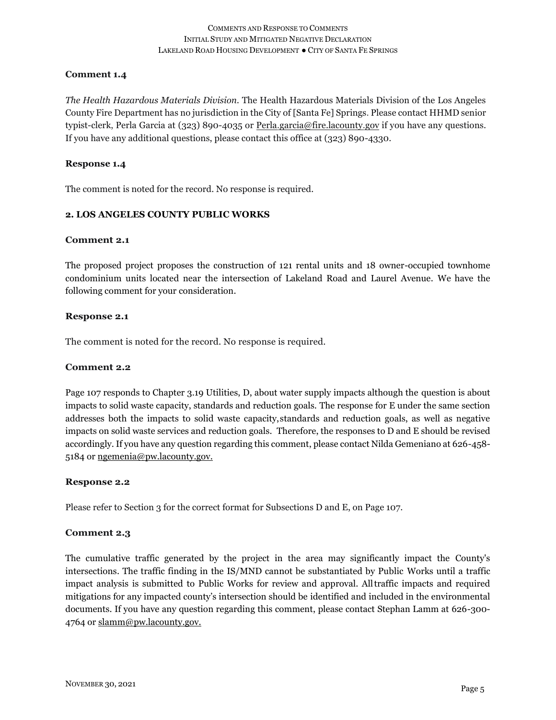#### **Comment 1.4**

*The Health Hazardous Materials Division.* The Health Hazardous Materials Division of the Los Angeles County Fire Department has no jurisdiction in the City of [Santa Fe] Springs. Please contact HHMD senior typist-clerk, Perla Garcia at (323) 890-4035 or [Perla.garcia@fire.lacounty.gov](mailto:Perla.garcia@fire.lacounty.gov) if you have any questions. If you have any additional questions, please contact this office at (323) 890-4330.

#### **Response 1.4**

The comment is noted for the record. No response is required.

#### **2. LOS ANGELES COUNTY PUBLIC WORKS**

#### **Comment 2.1**

The proposed project proposes the construction of 121 rental units and 18 owner-occupied townhome condominium units located near the intersection of Lakeland Road and Laurel Avenue. We have the following comment for your consideration.

#### **Response 2.1**

The comment is noted for the record. No response is required.

#### **Comment 2.2**

Page 107 responds to Chapter 3.19 Utilities, D, about water supply impacts although the question is about impacts to solid waste capacity, standards and reduction goals. The response for E under the same section addresses both the impacts to solid waste capacity,standards and reduction goals, as well as negative impacts on solid waste services and reduction goals. Therefore, the responses to D and E should be revised accordingly. If you have any question regarding this comment, please contact Nilda Gemeniano at 626-458- 5184 or [ngemenia@pw.lacounty.gov.](mailto:ngemenia@pw.lacounty.gov)

#### **Response 2.2**

Please refer to Section 3 for the correct format for Subsections D and E, on Page 107.

#### **Comment 2.3**

The cumulative traffic generated by the project in the area may significantly impact the County's intersections. The traffic finding in the IS/MND cannot be substantiated by Public Works until a traffic impact analysis is submitted to Public Works for review and approval. Alltraffic impacts and required mitigations for any impacted county's intersection should be identified and included in the environmental documents. If you have any question regarding this comment, please contact Stephan Lamm at 626-300- 4764 or [slamm@pw.lacounty.gov.](mailto:slamm@pw.lacounty.gov)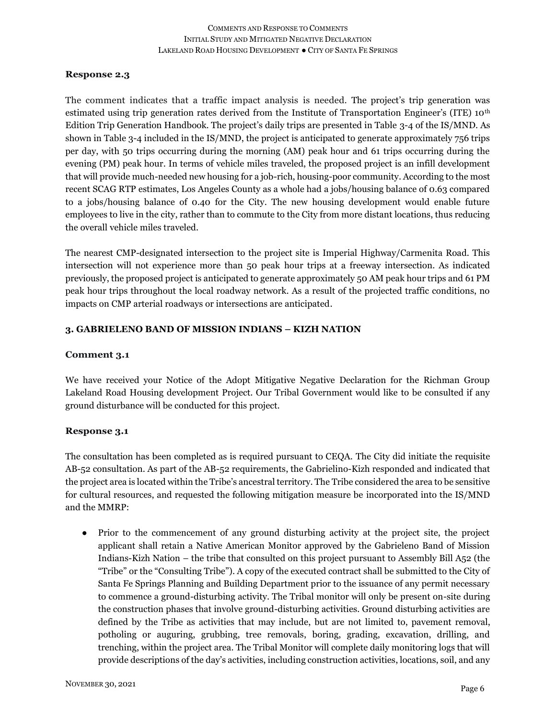#### **Response 2.3**

The comment indicates that a traffic impact analysis is needed. The project's trip generation was estimated using trip generation rates derived from the Institute of Transportation Engineer's (ITE) 10th Edition Trip Generation Handbook. The project's daily trips are presented in Table 3-4 of the IS/MND. As shown in Table 3-4 included in the IS/MND, the project is anticipated to generate approximately 756 trips per day, with 50 trips occurring during the morning (AM) peak hour and 61 trips occurring during the evening (PM) peak hour. In terms of vehicle miles traveled, the proposed project is an infill development that will provide much-needed new housing for a job-rich, housing-poor community. According to the most recent SCAG RTP estimates, Los Angeles County as a whole had a jobs/housing balance of 0.63 compared to a jobs/housing balance of 0.40 for the City. The new housing development would enable future employees to live in the city, rather than to commute to the City from more distant locations, thus reducing the overall vehicle miles traveled.

The nearest CMP-designated intersection to the project site is Imperial Highway/Carmenita Road. This intersection will not experience more than 50 peak hour trips at a freeway intersection. As indicated previously, the proposed project is anticipated to generate approximately 50 AM peak hour trips and 61 PM peak hour trips throughout the local roadway network. As a result of the projected traffic conditions, no impacts on CMP arterial roadways or intersections are anticipated.

## **3. GABRIELENO BAND OF MISSION INDIANS – KIZH NATION**

#### **Comment 3.1**

We have received your Notice of the Adopt Mitigative Negative Declaration for the Richman Group Lakeland Road Housing development Project. Our Tribal Government would like to be consulted if any ground disturbance will be conducted for this project.

#### **Response 3.1**

The consultation has been completed as is required pursuant to CEQA. The City did initiate the requisite AB-52 consultation. As part of the AB-52 requirements, the Gabrielino-Kizh responded and indicated that the project area is located within the Tribe's ancestral territory. The Tribe considered the area to be sensitive for cultural resources, and requested the following mitigation measure be incorporated into the IS/MND and the MMRP:

• Prior to the commencement of any ground disturbing activity at the project site, the project applicant shall retain a Native American Monitor approved by the Gabrieleno Band of Mission Indians-Kizh Nation – the tribe that consulted on this project pursuant to Assembly Bill A52 (the "Tribe" or the "Consulting Tribe"). A copy of the executed contract shall be submitted to the City of Santa Fe Springs Planning and Building Department prior to the issuance of any permit necessary to commence a ground-disturbing activity. The Tribal monitor will only be present on-site during the construction phases that involve ground-disturbing activities. Ground disturbing activities are defined by the Tribe as activities that may include, but are not limited to, pavement removal, potholing or auguring, grubbing, tree removals, boring, grading, excavation, drilling, and trenching, within the project area. The Tribal Monitor will complete daily monitoring logs that will provide descriptions of the day's activities, including construction activities, locations, soil, and any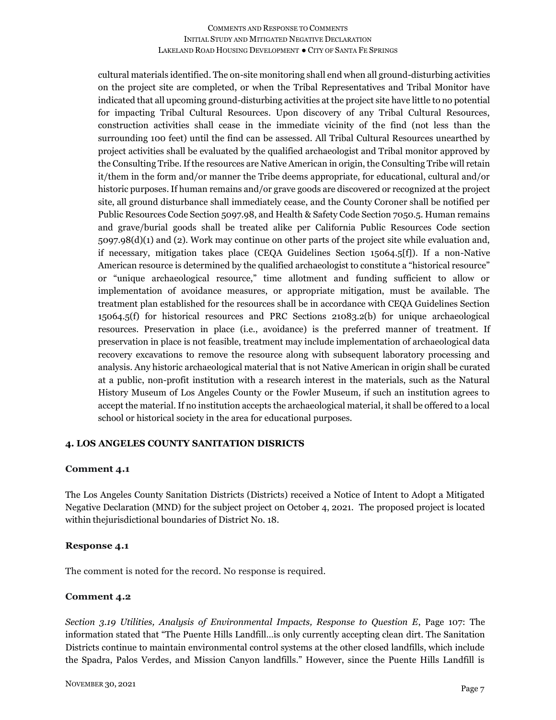cultural materials identified. The on-site monitoring shall end when all ground-disturbing activities on the project site are completed, or when the Tribal Representatives and Tribal Monitor have indicated that all upcoming ground-disturbing activities at the project site have little to no potential for impacting Tribal Cultural Resources. Upon discovery of any Tribal Cultural Resources, construction activities shall cease in the immediate vicinity of the find (not less than the surrounding 100 feet) until the find can be assessed. All Tribal Cultural Resources unearthed by project activities shall be evaluated by the qualified archaeologist and Tribal monitor approved by the Consulting Tribe. If the resources are Native American in origin, the Consulting Tribe will retain it/them in the form and/or manner the Tribe deems appropriate, for educational, cultural and/or historic purposes. If human remains and/or grave goods are discovered or recognized at the project site, all ground disturbance shall immediately cease, and the County Coroner shall be notified per Public Resources Code Section 5097.98, and Health & Safety Code Section 7050.5. Human remains and grave/burial goods shall be treated alike per California Public Resources Code section 5097.98(d)(1) and (2). Work may continue on other parts of the project site while evaluation and, if necessary, mitigation takes place (CEQA Guidelines Section 15064.5[f]). If a non-Native American resource is determined by the qualified archaeologist to constitute a "historical resource" or "unique archaeological resource," time allotment and funding sufficient to allow or implementation of avoidance measures, or appropriate mitigation, must be available. The treatment plan established for the resources shall be in accordance with CEQA Guidelines Section 15064.5(f) for historical resources and PRC Sections 21083.2(b) for unique archaeological resources. Preservation in place (i.e., avoidance) is the preferred manner of treatment. If preservation in place is not feasible, treatment may include implementation of archaeological data recovery excavations to remove the resource along with subsequent laboratory processing and analysis. Any historic archaeological material that is not Native American in origin shall be curated at a public, non-profit institution with a research interest in the materials, such as the Natural History Museum of Los Angeles County or the Fowler Museum, if such an institution agrees to accept the material. If no institution accepts the archaeological material, it shall be offered to a local school or historical society in the area for educational purposes.

#### **4. LOS ANGELES COUNTY SANITATION DISRICTS**

#### **Comment 4.1**

The Los Angeles County Sanitation Districts (Districts) received a Notice of Intent to Adopt a Mitigated Negative Declaration (MND) for the subject project on October 4, 2021. The proposed project is located within thejurisdictional boundaries of District No. 18.

#### **Response 4.1**

The comment is noted for the record. No response is required.

#### **Comment 4.2**

*Section 3.19 Utilities, Analysis of Environmental Impacts, Response to Question E*, Page 107: The information stated that "The Puente Hills Landfill…is only currently accepting clean dirt. The Sanitation Districts continue to maintain environmental control systems at the other closed landfills, which include the Spadra, Palos Verdes, and Mission Canyon landfills." However, since the Puente Hills Landfill is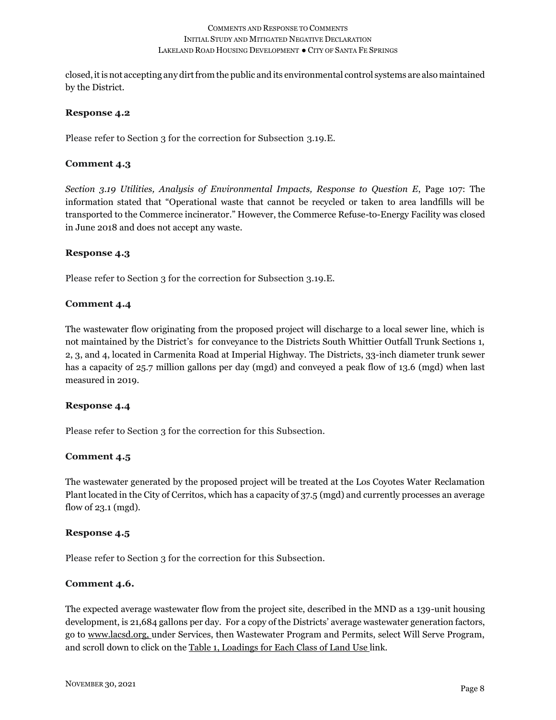closed,itisnot accepting any dirtfromthe public and its environmental control systems are also maintained by the District.

#### **Response 4.2**

Please refer to Section 3 for the correction for Subsection 3.19.E.

#### **Comment 4.3**

*Section 3.19 Utilities, Analysis of Environmental Impacts, Response to Question E*, Page 107: The information stated that "Operational waste that cannot be recycled or taken to area landfills will be transported to the Commerce incinerator." However, the Commerce Refuse-to-Energy Facility was closed in June 2018 and does not accept any waste.

#### **Response 4.3**

Please refer to Section 3 for the correction for Subsection 3.19.E.

#### **Comment 4.4**

The wastewater flow originating from the proposed project will discharge to a local sewer line, which is not maintained by the District's for conveyance to the Districts South Whittier Outfall Trunk Sections 1, 2, 3, and 4, located in Carmenita Road at Imperial Highway. The Districts, 33-inch diameter trunk sewer has a capacity of 25.7 million gallons per day (mgd) and conveyed a peak flow of 13.6 (mgd) when last measured in 2019.

#### **Response 4.4**

Please refer to Section 3 for the correction for this Subsection.

#### **Comment 4.5**

The wastewater generated by the proposed project will be treated at the Los Coyotes Water Reclamation Plant located in the City of Cerritos, which has a capacity of 37.5 (mgd) and currently processes an average flow of 23.1 (mgd).

#### **Response 4.5**

Please refer to Section 3 for the correction for this Subsection.

#### **Comment 4.6.**

The expected average wastewater flow from the project site, described in the MND as a 139-unit housing development, is 21,684 gallons per day. For a copy of the Districts' average wastewater generation factors, go to [www.lacsd.org, u](http://www.lacsd.org/)nder Services, then Wastewater Program and Permits, select Will Serve Program, and scroll down to click on the Table 1, [Loadings for](https://www.lacsd.org/home/showpublisheddocument/3644/637644575489800000) Each Class of Land Use link.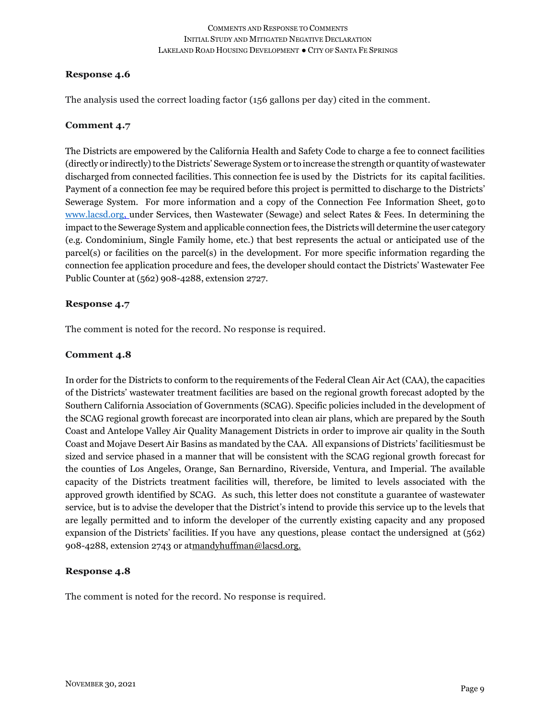#### **Response 4.6**

The analysis used the correct loading factor (156 gallons per day) cited in the comment.

#### **Comment 4.7**

The Districts are empowered by the California Health and Safety Code to charge a fee to connect facilities (directly or indirectly) to the Districts' Sewerage System or to increase the strength or quantity of wastewater discharged from connected facilities. This connection fee is used by the Districts for its capital facilities. Payment of a connection fee may be required before this project is permitted to discharge to the Districts' Sewerage System. For more information and a copy of the Connection Fee Information Sheet, go to [www.lacsd.org, u](http://www.lacsd.org/)nder Services, then Wastewater (Sewage) and select Rates & Fees. In determining the impact to the Sewerage System and applicable connection fees, the Districts will determine the user category (e.g. Condominium, Single Family home, etc.) that best represents the actual or anticipated use of the parcel(s) or facilities on the parcel(s) in the development. For more specific information regarding the connection fee application procedure and fees, the developer should contact the Districts' Wastewater Fee Public Counter at (562) 908-4288, extension 2727.

#### **Response 4.7**

The comment is noted for the record. No response is required.

#### **Comment 4.8**

In order for the Districts to conform to the requirements of the Federal Clean Air Act (CAA), the capacities of the Districts' wastewater treatment facilities are based on the regional growth forecast adopted by the Southern California Association of Governments (SCAG). Specific policies included in the development of the SCAG regional growth forecast are incorporated into clean air plans, which are prepared by the South Coast and Antelope Valley Air Quality Management Districts in order to improve air quality in the South Coast and Mojave Desert Air Basins as mandated by the CAA. All expansions of Districts' facilitiesmust be sized and service phased in a manner that will be consistent with the SCAG regional growth forecast for the counties of Los Angeles, Orange, San Bernardino, Riverside, Ventura, and Imperial. The available capacity of the Districts treatment facilities will, therefore, be limited to levels associated with the approved growth identified by SCAG. As such, this letter does not constitute a guarantee of wastewater service, but is to advise the developer that the District's intend to provide this service up to the levels that are legally permitted and to inform the developer of the currently existing capacity and any proposed expansion of the Districts' facilities. If you have any questions, please contact the undersigned at (562) 908-4288, extension 2743 or a[tmandyhuffman@lacsd.org.](mailto:mandyhuffman@lacsd.org)

#### **Response 4.8**

The comment is noted for the record. No response is required.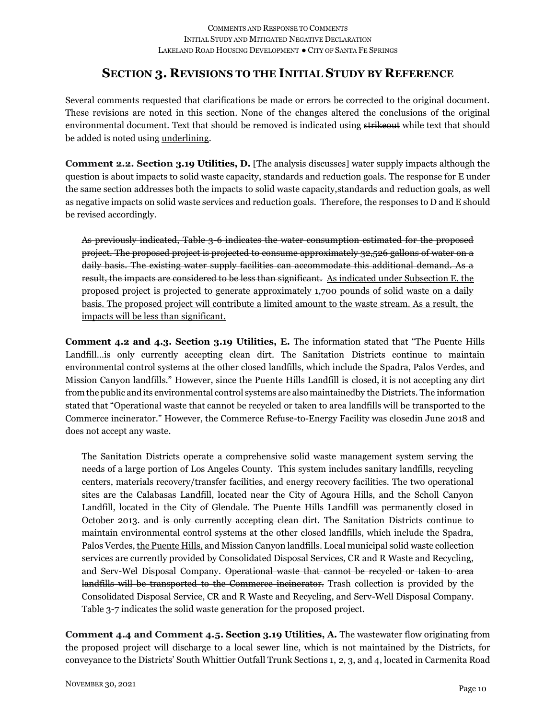## **SECTION 3. REVISIONS TO THE INITIAL STUDY BY REFERENCE**

Several comments requested that clarifications be made or errors be corrected to the original document. These revisions are noted in this section. None of the changes altered the conclusions of the original environmental document. Text that should be removed is indicated using strikeout while text that should be added is noted using underlining.

**Comment 2.2. Section 3.19 Utilities, D.** [The analysis discusses] water supply impacts although the question is about impacts to solid waste capacity, standards and reduction goals. The response for E under the same section addresses both the impacts to solid waste capacity,standards and reduction goals, as well as negative impacts on solid waste services and reduction goals. Therefore, the responses to D and E should be revised accordingly.

As previously indicated, Table 3-6 indicates the water consumption estimated for the proposed project. The proposed project is projected to consume approximately 32,526 gallons of water on a daily basis. The existing water supply facilities can accommodate this additional demand. As a result, the impacts are considered to be less than significant. As indicated under Subsection E, the proposed project is projected to generate approximately 1,700 pounds of solid waste on a daily basis. The proposed project will contribute a limited amount to the waste stream. As a result, the impacts will be less than significant.

**Comment 4.2 and 4.3. Section 3.19 Utilities, E.** The information stated that "The Puente Hills Landfill…is only currently accepting clean dirt. The Sanitation Districts continue to maintain environmental control systems at the other closed landfills, which include the Spadra, Palos Verdes, and Mission Canyon landfills." However, since the Puente Hills Landfill is closed, it is not accepting any dirt from the public and its environmental control systems are also maintainedby the Districts. The information stated that "Operational waste that cannot be recycled or taken to area landfills will be transported to the Commerce incinerator." However, the Commerce Refuse-to-Energy Facility was closedin June 2018 and does not accept any waste.

The Sanitation Districts operate a comprehensive solid waste management system serving the needs of a large portion of Los Angeles County. This system includes sanitary landfills, recycling centers, materials recovery/transfer facilities, and energy recovery facilities. The two operational sites are the Calabasas Landfill, located near the City of Agoura Hills, and the Scholl Canyon Landfill, located in the City of Glendale. The Puente Hills Landfill was permanently closed in October 2013. and is only currently accepting clean dirt. The Sanitation Districts continue to maintain environmental control systems at the other closed landfills, which include the Spadra, Palos Verdes, the Puente Hills, and Mission Canyon landfills. Local municipal solid waste collection services are currently provided by Consolidated Disposal Services, CR and R Waste and Recycling, and Serv-Wel Disposal Company. <del>Operational waste that cannot be recycled or taken to area</del> landfills will be transported to the Commerce incinerator. Trash collection is provided by the Consolidated Disposal Service, CR and R Waste and Recycling, and Serv-Well Disposal Company. Table 3-7 indicates the solid waste generation for the proposed project.

**Comment 4.4 and Comment 4.5. Section 3.19 Utilities, A.** The wastewater flow originating from the proposed project will discharge to a local sewer line, which is not maintained by the Districts, for conveyance to the Districts' South Whittier Outfall Trunk Sections 1, 2, 3, and 4, located in Carmenita Road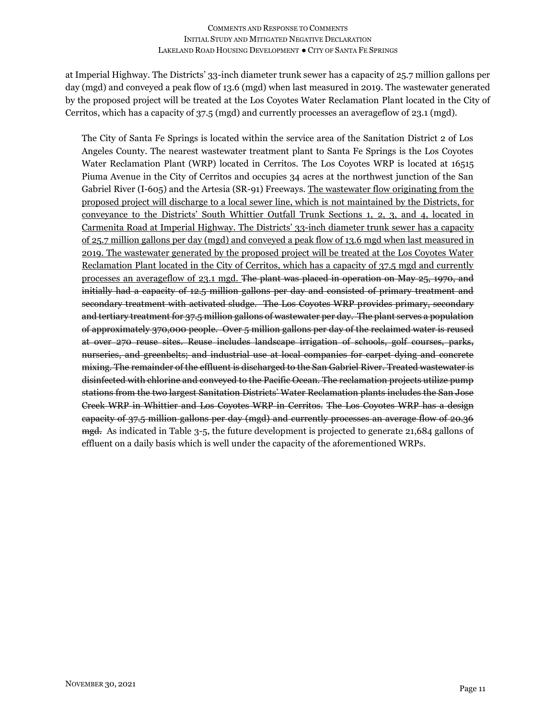at Imperial Highway. The Districts' 33-inch diameter trunk sewer has a capacity of 25.7 million gallons per day (mgd) and conveyed a peak flow of 13.6 (mgd) when last measured in 2019. The wastewater generated by the proposed project will be treated at the Los Coyotes Water Reclamation Plant located in the City of Cerritos, which has a capacity of 37.5 (mgd) and currently processes an averageflow of 23.1 (mgd).

The City of Santa Fe Springs is located within the service area of the Sanitation District 2 of Los Angeles County. The nearest wastewater treatment plant to Santa Fe Springs is the Los Coyotes Water Reclamation Plant (WRP) located in Cerritos. The Los Coyotes WRP is located at 16515 Piuma Avenue in the City of Cerritos and occupies 34 acres at the northwest junction of the San Gabriel River (I-605) and the Artesia (SR-91) Freeways. The wastewater flow originating from the proposed project will discharge to a local sewer line, which is not maintained by the Districts, for conveyance to the Districts' South Whittier Outfall Trunk Sections 1, 2, 3, and 4, located in Carmenita Road at Imperial Highway. The Districts' 33-inch diameter trunk sewer has a capacity of 25.7 million gallons per day (mgd) and conveyed a peak flow of 13.6 mgd when last measured in 2019. The wastewater generated by the proposed project will be treated at the Los Coyotes Water Reclamation Plant located in the City of Cerritos, which has a capacity of 37.5 mgd and currently processes an averageflow of 23.1 mgd. The plant was placed in operation on May 25, 1970, and initially had a capacity of 12.5 million gallons per day and consisted of primary treatment and secondary treatment with activated sludge. The Los Coyotes WRP provides primary, secondary and tertiary treatment for 37.5 million gallons of wastewater per day. The plant serves a population of approximately 370,000 people. Over 5 million gallons per day of the reclaimed water is reused at over 270 reuse sites. Reuse includes landscape irrigation of schools, golf courses, parks, nurseries, and greenbelts; and industrial use at local companies for carpet dying and concrete mixing. The remainder of the effluent is discharged to the San Gabriel River. Treated wastewater is disinfected with chlorine and conveyed to the Pacific Ocean. The reclamation projects utilize pump stations from the two largest Sanitation Districts' Water Reclamation plants includes the San Jose Creek WRP in Whittier and Los Coyotes WRP in Cerritos. The Los Coyotes WRP has a design capacity of 37.5 million gallons per day (mgd) and currently processes an average flow of 20.36 mgd. As indicated in Table 3-5, the future development is projected to generate 21,684 gallons of effluent on a daily basis which is well under the capacity of the aforementioned WRPs.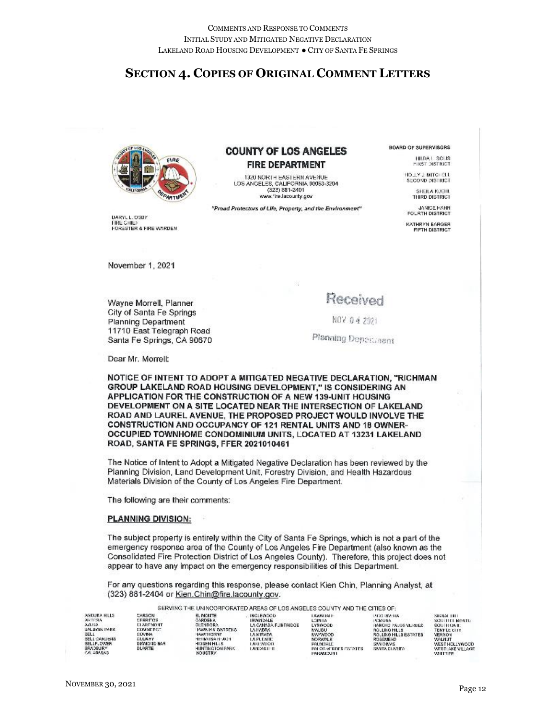## **SECTION 4. COPIES OF ORIGINAL COMMENT LETTERS**



DARYL L. OSDY FIRE CHIEF<br>FORESTER & FIRE WARDEN

## **COUNTY OF LOS ANGELES FIRE DEPARTMENT**

1320 NORTH EASTERN AVENUE. LOS ANCELES, CALIFORNIA 90053-3294 (323) 881-2401 www.fire.lacounty.gov

"Proud Protectors of Life, Property, and the Environment"

BOARD OF SUPERVISORS

HILDAT SOLIS<br>FIRST DISTRICT  $HO + V$  ) MITCHELL

SECOND DISTRICT **SHEILA KUEHL** 

> THIRD DISTRICT JANICE HAHN

FOLRTH DISTRICT

KATHRYN EARGER **RETH DISTRICT** 

November 1, 2021

Wayne Morrell, Planner City of Santa Fe Springs

Santa Fe Springs, CA 90670

Planning Department 11710 East Telegraph Road Received

NOV 04 2021

Planning Depasurent

Dear Mr. Morrell:

NOTICE OF INTENT TO ADOPT A MITIGATED NEGATIVE DECLARATION, "RICHMAN GROUP LAKELAND ROAD HOUSING DEVELOPMENT," IS CONSIDERING AN APPLICATION FOR THE CONSTRUCTION OF A NEW 139-UNIT HOUSING DEVELOPMENT ON A SITE LOCATED NEAR THE INTERSECTION OF LAKELAND ROAD AND LAUREL AVENUE, THE PROPOSED PROJECT WOULD INVOLVE THE CONSTRUCTION AND OCCUPANCY OF 121 RENTAL UNITS AND 18 OWNER-OCCUPIED TOWNHOME CONDOMINIUM UNITS, LOCATED AT 13231 LAKELAND ROAD, SANTA FE SPRINGS, FFER 2021010461

The Notice of Intent to Adopt a Mitigated Negative Declaration has been reviewed by the Planning Division, Land Development Unit, Forestry Division, and Health Hazardous Materials Division of the County of Los Angeles Fire Department.

The following are their comments:

#### **PLANNING DIVISION:**

The subject property is entirely within the City of Santa Fe Springs, which is not a part of the emergency response area of the County of Los Angeles Fire Department (also known as the Consolidated Fire Protection District of Los Angeles County). Therefore, this project does not appear to have any impact on the emergency responsibilities of this Department.

For any questions regarding this response, please contact Kien Chin, Planning Analyst, at (323) 881-2404 or Kien.Chin@fire.lacounty.gov.

SERVING THE UNINCORPORATED AREAS OF LOS ANGELES COUNTY AND THE CITIES OF: CARSON<br>CERRITOS<br>CLAREMONT **INGLEWOOD** 

**LANCASTER** 

| AGOURA HILLS        |
|---------------------|
| <b>ARTESIA</b>      |
| <b>AZUSA</b>        |
| <b>BALDVAN PARK</b> |
| <b>BELL</b>         |
| SELL GARDENS        |
| BELLFLOWER          |
| <b>BRADBURY</b>     |
| CAL ARASAS          |

| CARSCN            | EL MONTE                  |
|-------------------|---------------------------|
| <b>CERRITOS</b>   | GARDEKA.                  |
| CLAREMONT         | GLENDORA.                 |
| <b>EDMATECT</b>   | <b>IAWA IAN GARDERS</b>   |
| COVEIS            | <b><i>REMEDIATION</i></b> |
| <b>GLIUSHY</b>    | HEINVISA HEAGH            |
| <b>FAB GLYAND</b> | <b>HIDDEN HILLS</b>       |
| <b>DUARTE</b>     | <b>HINTINGTON PARK</b>    |
|                   | <b>NOUSTRY</b>            |

**LAWRIAD**<br>LOMILA<br>LYNWOOD<br>MAVAOOD<br>MAYAOOD INGLEWOOD<br>LA CANADA FLINTRIDGE<br>LA CANADA FLINTRIDGE<br>LA PLEMITE<br>LA PLEMITE<br>LA PLEMITE NORWALK **PALMBALE** PALCO VERDES ESTATES *ENGINEERS* 

SIGNAL III<br>SCULINE NOVEL<br>SQUINGARE<br>VERYDON<br>VERYHOU<br>VERYHOU VOIT NOVEL<br>VERYHAKE VLLAGE<br>VINTTER<br>VINTTER MCO RIVERA<br>POMONA<br>RANCHO PALOS VIBRIDES ROLLING HELB<br>ROLLING HELB<br>ROSEMEAD SAN OIMAS<br>SANTA CLARITA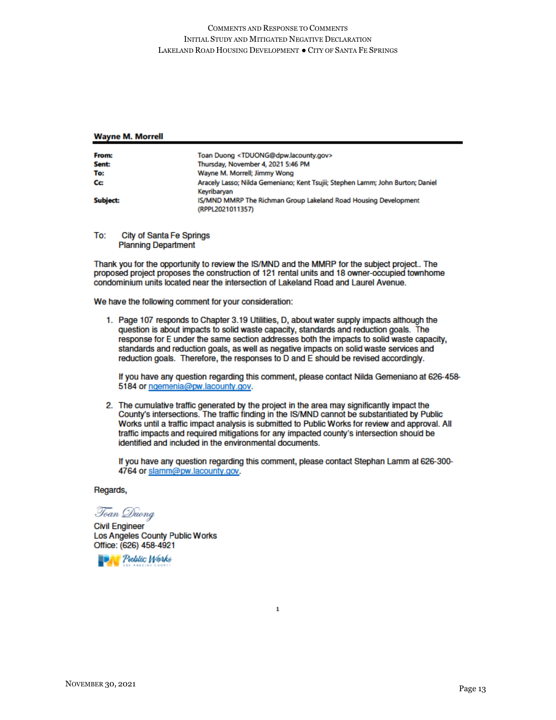**Wayne M. Morrell** 

| From:    | Toan Duong <tduong@dpw.lacounty.gov></tduong@dpw.lacounty.gov>                 |
|----------|--------------------------------------------------------------------------------|
| Sent:    | Thursday, November 4, 2021 5:46 PM                                             |
| To:      | Wayne M. Morrell; Jimmy Wong                                                   |
| Cc:      | Aracely Lasso; Nilda Gemeniano; Kent Tsujii; Stephen Lamm; John Burton; Daniel |
|          | Keyribaryan                                                                    |
| Subject: | IS/MND MMRP The Richman Group Lakeland Road Housing Development                |
|          | (RPPL2021011357)                                                               |

To: **City of Santa Fe Springs Planning Department** 

Thank you for the opportunity to review the IS/MND and the MMRP for the subject project.. The proposed project proposes the construction of 121 rental units and 18 owner-occupied townhome condominium units located near the intersection of Lakeland Road and Laurel Avenue.

We have the following comment for your consideration:

1. Page 107 responds to Chapter 3.19 Utilities, D, about water supply impacts although the question is about impacts to solid waste capacity, standards and reduction goals. The response for E under the same section addresses both the impacts to solid waste capacity, standards and reduction goals, as well as negative impacts on solid waste services and reduction goals. Therefore, the responses to D and E should be revised accordingly.

If you have any question regarding this comment, please contact Nilda Gemeniano at 626-458-5184 or ngemenia@pw.lacounty.gov.

2. The cumulative traffic generated by the project in the area may significantly impact the County's intersections. The traffic finding in the IS/MND cannot be substantiated by Public Works until a traffic impact analysis is submitted to Public Works for review and approval. All traffic impacts and required mitigations for any impacted county's intersection should be identified and included in the environmental documents.

If you have any question regarding this comment, please contact Stephan Lamm at 626-300-4764 or slamm@pw.lacounty.gov.

1

Regards,

Toan Duong

**Civil Engineer** Los Angeles County Public Works Office: (626) 458-4921

Peddic Works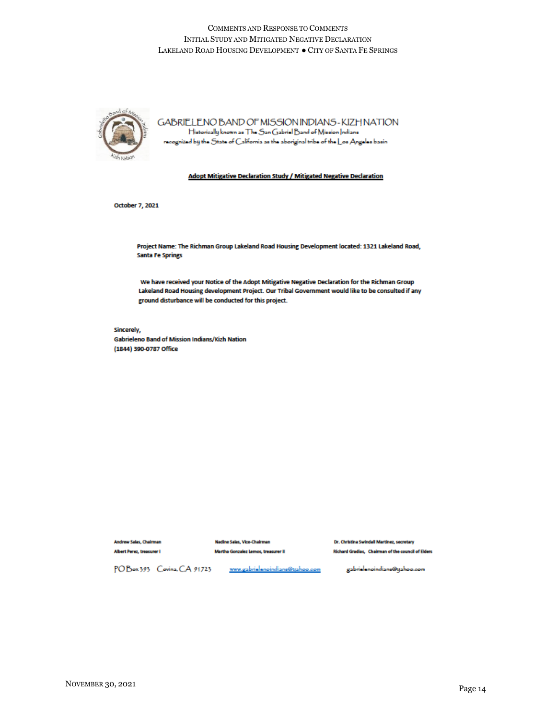

GABRIELENO BAND OF MISSION INDIANS-KIZHNATION Historically known as The San Gabriel Band of Mission Indians recognized by the State of California as the aboriginal tribe of the Los Angeles basin

#### **Adopt Mitigative Declaration Study / Mitigated Negative Declaration**

October 7, 2021

Project Name: The Richman Group Lakeland Road Housing Development located: 1321 Lakeland Road, **Santa Fe Springs** 

We have received your Notice of the Adopt Mitigative Negative Declaration for the Richman Group Lakeland Road Housing development Project. Our Tribal Government would like to be consulted if any ground disturbance will be conducted for this project.

Sincerely, Gabrieleno Band of Mission Indians/Kizh Nation (1844) 390-0787 Office

**Andrew Salas, Chairman** Albert Perez, treasurer I **Nadine Salas, Vice-Chairman** Martha Gonzalez Lemos, treasurer II

Dr. Christina Swindall Martinez, secretary Richard Gradias, Chairman of the council of Elders

POBox 393 Covina, CA 91723 www.gabrielenoindians@yahoo.com gabrielenoindians@yahoo.com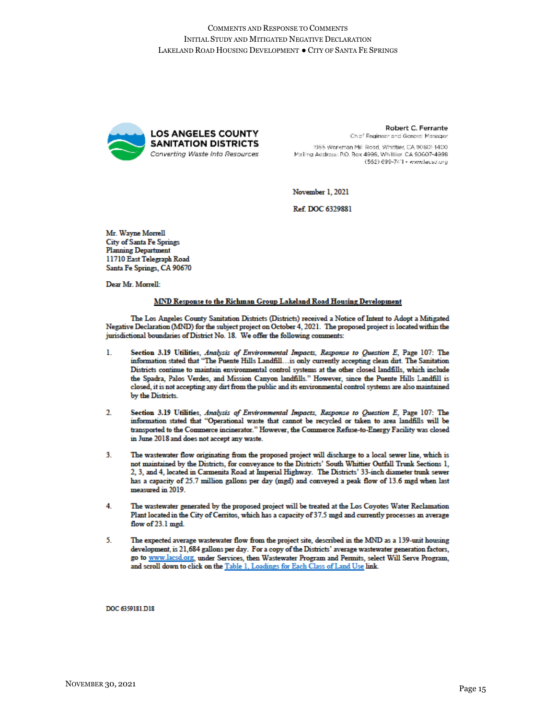

Robert C. Ferrante Chief Engineer and General Manager

1955 Workman Mill Road, Whittier, CA 90801-1400 Maling Address: P.O. Box 4998, Whittier, CA 90607-4998. (562) 699-74'll · www.lacsd.org

November 1, 2021

Ref. DOC 6329881

Mr. Wavne Morrell **City of Santa Fe Springs Planning Department** 11710 East Telegraph Road Santa Fe Springs, CA 90670

Dear Mr. Morrell:

#### MND Response to the Richman Group Lakeland Road Housing Development

The Los Angeles County Sanitation Districts (Districts) received a Notice of Intent to Adopt a Mitigated Negative Declaration (MND) for the subject project on October 4, 2021. The proposed project is located within the jurisdictional boundaries of District No. 18. We offer the following comments:

- Section 3.19 Utilities, Analysis of Environmental Impacts, Response to Question E, Page 107: The ı. information stated that "The Puente Hills Landfill...is only currently accepting clean dirt. The Sanitation Districts continue to maintain environmental control systems at the other closed landfills, which include the Spadra, Palos Verdes, and Mission Canyon landfills." However, since the Puente Hills Landfill is closed, it is not accepting any dirt from the public and its environmental control systems are also maintained by the Districts.
- $\mathcal{L}$ Section 3.19 Utilities, Analysis of Environmental Impacts, Response to Question E, Page 107: The information stated that "Operational waste that cannot be recycled or taken to area landfills will be transported to the Commerce incinerator." However, the Commerce Refuse-to-Energy Facility was closed in June 2018 and does not accept any waste.
- 3. The wastewater flow originating from the proposed project will discharge to a local sewer line, which is not maintained by the Districts, for conveyance to the Districts' South Whittier Outfall Trunk Sections 1, 2, 3, and 4, located in Carmenita Road at Imperial Highway. The Districts' 33-inch diameter trunk sewer has a capacity of 25.7 million gallons per day (mgd) and conveyed a peak flow of 13.6 mgd when last measured in 2019.
- 4. The wastewater generated by the proposed project will be treated at the Los Coyotes Water Reclamation Plant located in the City of Cerritos, which has a capacity of 37.5 mgd and currently processes an average flow of 23.1 mgd.
- 5. The expected average wastewater flow from the project site, described in the MND as a 139-unit housing development, is 21,684 gallons per day. For a copy of the Districts' average wastewater generation factors, go to www.lacsd.org, under Services, then Wastewater Program and Permits, select Will Serve Program, and scroll down to click on the Table 1, Loadings for Each Class of Land Use link.

DOC 6350181 D18